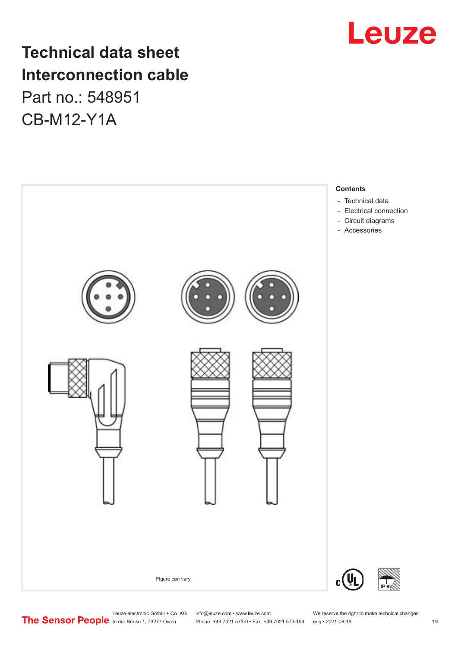

# **Technical data sheet Interconnection cable** Part no.: 548951 CB-M12-Y1A



Phone: +49 7021 573-0 • Fax: +49 7021 573-199 eng • 2021-08-19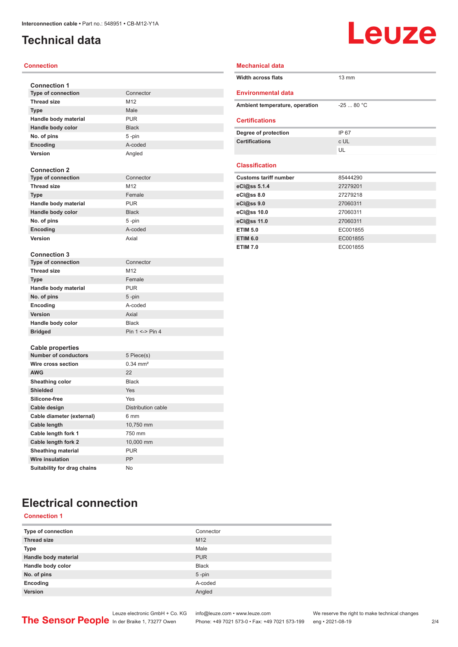# <span id="page-1-0"></span>**Technical data**

# **Leuze**

#### **Connection**

| <b>Connection 1</b>         |                        |  |  |
|-----------------------------|------------------------|--|--|
| <b>Type of connection</b>   | Connector              |  |  |
| <b>Thread size</b>          | M12                    |  |  |
| <b>Type</b>                 | Male                   |  |  |
| Handle body material        | <b>PUR</b>             |  |  |
| Handle body color           | <b>Black</b>           |  |  |
| No. of pins                 | 5-pin                  |  |  |
| Encoding                    | A-coded                |  |  |
| <b>Version</b>              | Angled                 |  |  |
|                             |                        |  |  |
| <b>Connection 2</b>         |                        |  |  |
| <b>Type of connection</b>   | Connector              |  |  |
| <b>Thread size</b>          | M12                    |  |  |
| <b>Type</b>                 | Female                 |  |  |
| Handle body material        | <b>PUR</b>             |  |  |
| Handle body color           | <b>Black</b>           |  |  |
| No. of pins                 | 5-pin                  |  |  |
| Encoding                    | A-coded                |  |  |
| <b>Version</b>              | Axial                  |  |  |
| <b>Connection 3</b>         |                        |  |  |
| <b>Type of connection</b>   | Connector              |  |  |
| <b>Thread size</b>          | M12                    |  |  |
| <b>Type</b>                 | Female                 |  |  |
| Handle body material        | <b>PUR</b>             |  |  |
| No. of pins                 | 5-pin                  |  |  |
| Encoding                    | A-coded                |  |  |
| <b>Version</b>              | Axial                  |  |  |
| Handle body color           | <b>Black</b>           |  |  |
| <b>Bridged</b>              | Pin $1 \le$ > Pin 4    |  |  |
|                             |                        |  |  |
| <b>Cable properties</b>     |                        |  |  |
| <b>Number of conductors</b> | 5 Piece(s)             |  |  |
| Wire cross section          | $0.34$ mm <sup>2</sup> |  |  |
| <b>AWG</b>                  | 22                     |  |  |
| Sheathing color             | <b>Black</b>           |  |  |
| <b>Shielded</b>             | Yes                    |  |  |
| Silicone-free               | Yes                    |  |  |
| Cable design                | Distribution cable     |  |  |
| Cable diameter (external)   | 6 mm                   |  |  |
| <b>Cable length</b>         | 10,750 mm              |  |  |
| Cable length fork 1         | 750 mm                 |  |  |
| Cable length fork 2         | 10,000 mm              |  |  |
| <b>Sheathing material</b>   | <b>PUR</b>             |  |  |
| <b>Wire insulation</b>      |                        |  |  |
|                             | PP                     |  |  |

| <b>Mechanical data</b>         |                 |  |  |  |
|--------------------------------|-----------------|--|--|--|
| <b>Width across flats</b>      | $13 \text{ mm}$ |  |  |  |
| <b>Environmental data</b>      |                 |  |  |  |
| Ambient temperature, operation | $-2580 °C$      |  |  |  |
| <b>Certifications</b>          |                 |  |  |  |
| Degree of protection           | IP 67           |  |  |  |
| <b>Certifications</b>          | c UL            |  |  |  |
|                                | UL              |  |  |  |
| <b>Classification</b>          |                 |  |  |  |
|                                |                 |  |  |  |
| <b>Customs tariff number</b>   | 85444290        |  |  |  |
| eCl@ss 5.1.4                   | 27279201        |  |  |  |
| eCl@ss 8.0                     | 27279218        |  |  |  |
| eCl@ss 9.0                     | 27060311        |  |  |  |
| eCl@ss 10.0                    | 27060311        |  |  |  |
| eCl@ss 11.0                    | 27060311        |  |  |  |
| <b>ETIM 5.0</b>                | EC001855        |  |  |  |
| <b>ETIM 6.0</b>                | EC001855        |  |  |  |

# **Electrical connection**

#### **Connection 1**

| Type of connection   | Connector       |
|----------------------|-----------------|
| <b>Thread size</b>   | M <sub>12</sub> |
| <b>Type</b>          | Male            |
| Handle body material | <b>PUR</b>      |
| Handle body color    | <b>Black</b>    |
| No. of pins          | $5$ -pin        |
| Encoding             | A-coded         |
| Version              | Angled          |
|                      |                 |

Leuze electronic GmbH + Co. KG info@leuze.com • www.leuze.com We reserve the right to make technical changes

ln der Braike 1, 73277 Owen Phone: +49 7021 573-0 • Fax: +49 7021 573-199 eng • 2021-08-19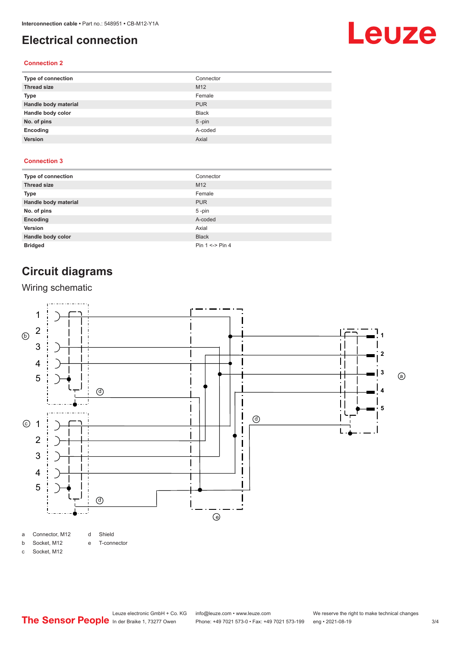## <span id="page-2-0"></span>**Electrical connection**

# Leuze

#### **Connection 2**

| Type of connection   | Connector       |
|----------------------|-----------------|
| <b>Thread size</b>   | M <sub>12</sub> |
| <b>Type</b>          | Female          |
| Handle body material | <b>PUR</b>      |
| Handle body color    | <b>Black</b>    |
| No. of pins          | $5$ -pin        |
| Encoding             | A-coded         |
| Version              | Axial           |

#### **Connection 3**

| Type of connection   | Connector           |
|----------------------|---------------------|
| <b>Thread size</b>   | M <sub>12</sub>     |
| Type                 | Female              |
| Handle body material | <b>PUR</b>          |
| No. of pins          | $5 - pin$           |
| Encoding             | A-coded             |
| Version              | Axial               |
| Handle body color    | <b>Black</b>        |
| <b>Bridged</b>       | Pin $1 \le$ > Pin 4 |

# **Circuit diagrams**

#### Wiring schematic



c Socket, M12